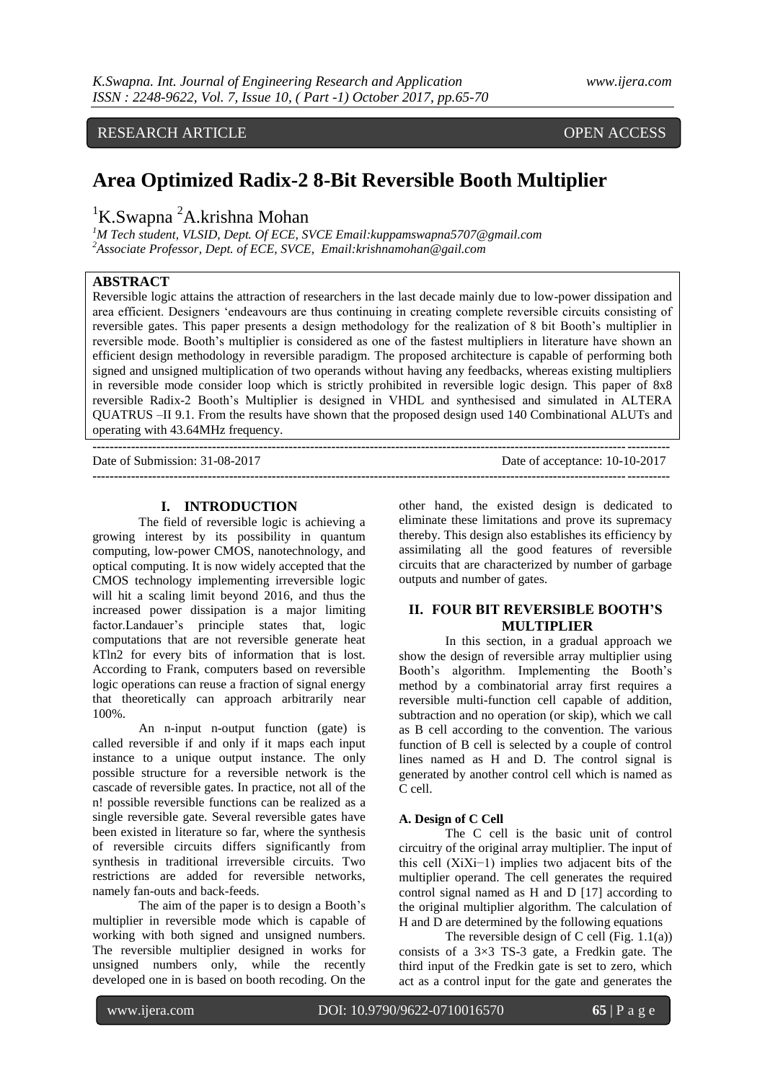# RESEARCH ARTICLE OPEN ACCESS

# **Area Optimized Radix-2 8-Bit Reversible Booth Multiplier**

<sup>1</sup>K.Swapna <sup>2</sup>A.krishna Mohan

*<sup>1</sup>M Tech student, VLSID, Dept. Of ECE, SVCE Email:kuppamswapna5707@gmail.com <sup>2</sup>Associate Professor, Dept. of ECE, SVCE, Email:krishnamohan@gail.com*

# **ABSTRACT**

Reversible logic attains the attraction of researchers in the last decade mainly due to low-power dissipation and area efficient. Designers "endeavours are thus continuing in creating complete reversible circuits consisting of reversible gates. This paper presents a design methodology for the realization of 8 bit Booth"s multiplier in reversible mode. Booth"s multiplier is considered as one of the fastest multipliers in literature have shown an efficient design methodology in reversible paradigm. The proposed architecture is capable of performing both signed and unsigned multiplication of two operands without having any feedbacks, whereas existing multipliers in reversible mode consider loop which is strictly prohibited in reversible logic design. This paper of 8x8 reversible Radix-2 Booth"s Multiplier is designed in VHDL and synthesised and simulated in ALTERA QUATRUS –II 9.1. From the results have shown that the proposed design used 140 Combinational ALUTs and operating with 43.64MHz frequency.

| Date of Submission: 31-08-2017 | Date of acceptance: 10-10-2017 |
|--------------------------------|--------------------------------|
|                                |                                |

## **I. INTRODUCTION**

The field of reversible logic is achieving a growing interest by its possibility in quantum computing, low-power CMOS, nanotechnology, and optical computing. It is now widely accepted that the CMOS technology implementing irreversible logic will hit a scaling limit beyond 2016, and thus the increased power dissipation is a major limiting factor.Landauer's principle states that, logic computations that are not reversible generate heat kTln2 for every bits of information that is lost. According to Frank, computers based on reversible logic operations can reuse a fraction of signal energy that theoretically can approach arbitrarily near 100%.

An n-input n-output function (gate) is called reversible if and only if it maps each input instance to a unique output instance. The only possible structure for a reversible network is the cascade of reversible gates. In practice, not all of the n! possible reversible functions can be realized as a single reversible gate. Several reversible gates have been existed in literature so far, where the synthesis of reversible circuits differs significantly from synthesis in traditional irreversible circuits. Two restrictions are added for reversible networks, namely fan-outs and back-feeds.

The aim of the paper is to design a Booth"s multiplier in reversible mode which is capable of working with both signed and unsigned numbers. The reversible multiplier designed in works for unsigned numbers only, while the recently developed one in is based on booth recoding. On the

other hand, the existed design is dedicated to eliminate these limitations and prove its supremacy thereby. This design also establishes its efficiency by assimilating all the good features of reversible circuits that are characterized by number of garbage outputs and number of gates.

# **II. FOUR BIT REVERSIBLE BOOTH'S MULTIPLIER**

In this section, in a gradual approach we show the design of reversible array multiplier using Booth"s algorithm. Implementing the Booth"s method by a combinatorial array first requires a reversible multi-function cell capable of addition, subtraction and no operation (or skip), which we call as B cell according to the convention. The various function of B cell is selected by a couple of control lines named as H and D. The control signal is generated by another control cell which is named as C cell.

#### **A. Design of C Cell**

The C cell is the basic unit of control circuitry of the original array multiplier. The input of this cell (XiXi−1) implies two adjacent bits of the multiplier operand. The cell generates the required control signal named as H and D [17] according to the original multiplier algorithm. The calculation of H and D are determined by the following equations

The reversible design of C cell (Fig.  $1.1(a)$ ) consists of a  $3\times3$  TS-3 gate, a Fredkin gate. The third input of the Fredkin gate is set to zero, which act as a control input for the gate and generates the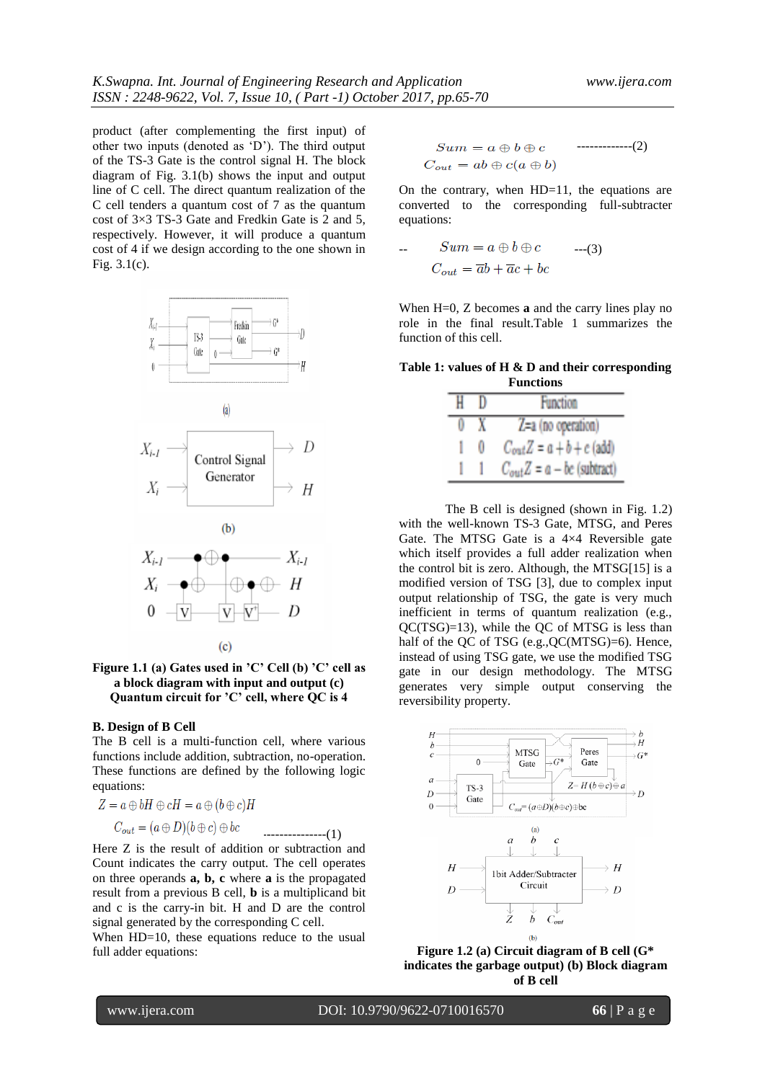product (after complementing the first input) of other two inputs (denoted as "D"). The third output of the TS-3 Gate is the control signal H. The block diagram of Fig. 3.1(b) shows the input and output line of C cell. The direct quantum realization of the C cell tenders a quantum cost of 7 as the quantum cost of 3×3 TS-3 Gate and Fredkin Gate is 2 and 5, respectively. However, it will produce a quantum cost of 4 if we design according to the one shown in Fig. 3.1(c).



#### **Figure 1.1 (a) Gates used in 'C' Cell (b) 'C' cell as a block diagram with input and output (c) Quantum circuit for 'C' cell, where QC is 4**

 $(c)$ 

#### **B. Design of B Cell**

The B cell is a multi-function cell, where various functions include addition, subtraction, no-operation. These functions are defined by the following logic equations:

---------------(1)

Here Z is the result of addition or subtraction and Count indicates the carry output. The cell operates on three operands **a, b, c** where **a** is the propagated result from a previous B cell, **b** is a multiplicand bit and c is the carry-in bit. H and D are the control signal generated by the corresponding C cell.

When HD=10, these equations reduce to the usual full adder equations:

-------------(2) 

On the contrary, when HD=11, the equations are converted to the corresponding full-subtracter equations:

$$
Sum = a \oplus b \oplus c \qquad \text{---}(3)
$$

$$
C_{out} = \overline{a}b + \overline{a}c + bc
$$

When H=0, Z becomes **a** and the carry lines play no role in the final result.Table 1 summarizes the function of this cell.

**Table 1: values of H & D and their corresponding Functions**

| н |   | <b>Function</b>                |
|---|---|--------------------------------|
|   |   |                                |
|   |   | Z=a (no operation)             |
|   |   |                                |
|   | 0 | $C_{out}Z = a + b + c$ (add)   |
|   |   |                                |
|   |   | $C_{out}Z = a - bc$ (subtract) |
|   |   |                                |

The B cell is designed (shown in Fig. 1.2) with the well-known TS-3 Gate, MTSG, and Peres Gate. The MTSG Gate is a 4×4 Reversible gate which itself provides a full adder realization when the control bit is zero. Although, the MTSG[15] is a modified version of TSG [3], due to complex input output relationship of TSG, the gate is very much inefficient in terms of quantum realization (e.g., QC(TSG)=13), while the QC of MTSG is less than half of the QC of TSG (e.g., QC(MTSG)=6). Hence, instead of using TSG gate, we use the modified TSG gate in our design methodology. The MTSG generates very simple output conserving the reversibility property.



**Figure 1.2 (a) Circuit diagram of B cell (G\* indicates the garbage output) (b) Block diagram of B cell**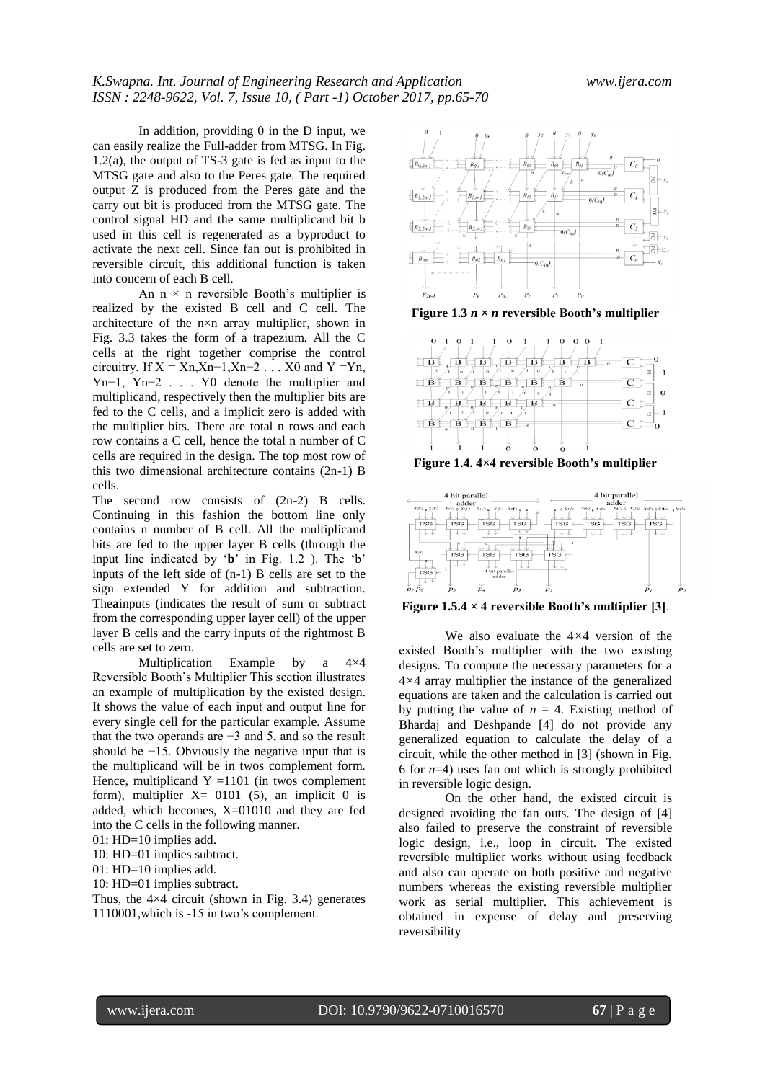In addition, providing 0 in the D input, we can easily realize the Full-adder from MTSG. In Fig. 1.2(a), the output of TS-3 gate is fed as input to the MTSG gate and also to the Peres gate. The required output Z is produced from the Peres gate and the carry out bit is produced from the MTSG gate. The control signal HD and the same multiplicand bit b used in this cell is regenerated as a byproduct to activate the next cell. Since fan out is prohibited in reversible circuit, this additional function is taken into concern of each B cell.

An  $n \times n$  reversible Booth's multiplier is realized by the existed B cell and C cell. The architecture of the n×n array multiplier, shown in Fig. 3.3 takes the form of a trapezium. All the C cells at the right together comprise the control circuitry. If  $X = Xn, Xn-1, Xn-2...$  X0 and  $Y = Yn$ , Yn−1, Yn−2 . . . Y0 denote the multiplier and multiplicand, respectively then the multiplier bits are fed to the C cells, and a implicit zero is added with the multiplier bits. There are total n rows and each row contains a C cell, hence the total n number of C cells are required in the design. The top most row of this two dimensional architecture contains (2n-1) B cells.

The second row consists of  $(2n-2)$  B cells. Continuing in this fashion the bottom line only contains n number of B cell. All the multiplicand bits are fed to the upper layer B cells (through the input line indicated by '**b**' in Fig. 1.2 ). The 'b' inputs of the left side of (n-1) B cells are set to the sign extended Y for addition and subtraction. The**a**inputs (indicates the result of sum or subtract from the corresponding upper layer cell) of the upper layer B cells and the carry inputs of the rightmost B cells are set to zero.

Multiplication Example by a 4×4 Reversible Booth"s Multiplier This section illustrates an example of multiplication by the existed design. It shows the value of each input and output line for every single cell for the particular example. Assume that the two operands are −3 and 5, and so the result should be −15. Obviously the negative input that is the multiplicand will be in twos complement form. Hence, multiplicand  $Y = 1101$  (in twos complement form), multiplier  $X = 0101$  (5), an implicit 0 is added, which becomes, X=01010 and they are fed into the C cells in the following manner.

 $01: HD=10$  implies add.

10: HD=01 implies subtract.

01: HD=10 implies add.

10: HD=01 implies subtract.

Thus, the  $4\times4$  circuit (shown in Fig. 3.4) generates 1110001,which is -15 in two"s complement.



**Figure 1.3**  $n \times n$  reversible Booth's multiplier



**Figure 1.4. 4***×***4 reversible Booth's multiplier**



**Figure 1.5.4**  $\times$  **4 reversible Booth's multiplier [3].** 

We also evaluate the 4*×*4 version of the existed Booth"s multiplier with the two existing designs. To compute the necessary parameters for a 4*×*4 array multiplier the instance of the generalized equations are taken and the calculation is carried out by putting the value of  $n = 4$ . Existing method of Bhardaj and Deshpande [4] do not provide any generalized equation to calculate the delay of a circuit, while the other method in [3] (shown in Fig. 6 for  $n=4$ ) uses fan out which is strongly prohibited in reversible logic design.

On the other hand, the existed circuit is designed avoiding the fan outs. The design of [4] also failed to preserve the constraint of reversible logic design, i.e., loop in circuit. The existed reversible multiplier works without using feedback and also can operate on both positive and negative numbers whereas the existing reversible multiplier work as serial multiplier. This achievement is obtained in expense of delay and preserving reversibility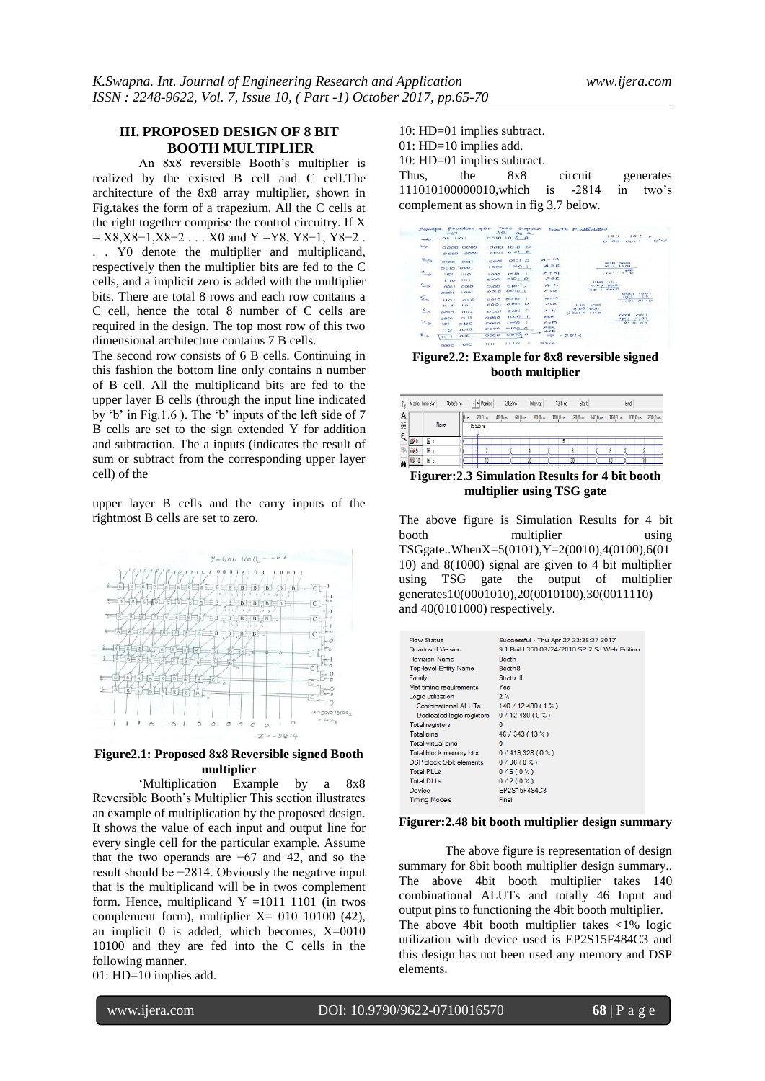## **III. PROPOSED DESIGN OF 8 BIT BOOTH MULTIPLIER**

An 8x8 reversible Booth"s multiplier is realized by the existed B cell and C cell.The architecture of the 8x8 array multiplier, shown in Fig.takes the form of a trapezium. All the C cells at the right together comprise the control circuitry. If X  $=$  X8,X8−1,X8−2 . . . X0 and Y =Y8, Y8−1, Y8−2. . . Y0 denote the multiplier and multiplicand, respectively then the multiplier bits are fed to the C cells, and a implicit zero is added with the multiplier bits. There are total 8 rows and each row contains a C cell, hence the total 8 number of C cells are required in the design. The top most row of this two dimensional architecture contains 7 B cells.

The second row consists of 6 B cells. Continuing in this fashion the bottom line only contains n number of B cell. All the multiplicand bits are fed to the upper layer B cells (through the input line indicated by 'b' in Fig.1.6 ). The 'b' inputs of the left side of  $7$ B cells are set to the sign extended Y for addition and subtraction. The a inputs (indicates the result of sum or subtract from the corresponding upper layer cell) of the

upper layer B cells and the carry inputs of the rightmost B cells are set to zero.



#### **Figure2.1: Proposed 8x8 Reversible signed Booth multiplier**

"Multiplication Example by a 8x8 Reversible Booth"s Multiplier This section illustrates an example of multiplication by the proposed design. It shows the value of each input and output line for every single cell for the particular example. Assume that the two operands are −67 and 42, and so the result should be −2814. Obviously the negative input that is the multiplicand will be in twos complement form. Hence, multiplicand  $Y = 10111101$  (in twos complement form), multiplier  $X = 010 10100 (42)$ , an implicit 0 is added, which becomes,  $X=0010$ 10100 and they are fed into the C cells in the following manner.

01: HD=10 implies add.

10: HD=01 implies subtract. 01: HD=10 implies add. 10: HD=01 implies subtract. Thus, the  $8x8$  circuit generates

111010100000010,which is -2814 in two"s complement as shown in fig 3.7 below.

|                             | $-67$             |            | 42          |             | $a_n$ $a_n$              |                   |               |                      | 1011                    | 1101         |                 |           |
|-----------------------------|-------------------|------------|-------------|-------------|--------------------------|-------------------|---------------|----------------------|-------------------------|--------------|-----------------|-----------|
|                             | $101 - 110$       |            | 0010 1010 0 |             |                          |                   |               |                      | 71.00                   | 0011         |                 | $- (x-c)$ |
| حد                          | 0000              | 0000       | OO1O        | $1010$ $C$  |                          |                   |               |                      |                         |              |                 |           |
|                             | 0000              | 0000       | 0001        | $O[O]$ $O$  |                          |                   |               |                      |                         |              |                 |           |
| $\rightarrow$               | O <sub>1</sub> OO | 0011       | 0001        | OIOI        |                          | $A - M$           |               |                      |                         |              |                 |           |
|                             | opio              | 0001       | 1000        | 1010        |                          | ASR               |               |                      | <b>CHES</b> CR<br>14211 | 0001<br>1101 |                 |           |
| $\rightarrow$               | 1601              | <b>HIO</b> | 1000        | 1010        | - 1                      | $A + M$           |               |                      | 11011110                |              |                 |           |
|                             | 1110              | 355.4      | 0100        | $O1O1$ $O$  |                          | 介当史               |               | 111.49               | 1111                    |              |                 |           |
| 4 <sub>5</sub>              | 0011              | QQ         | OIO         | Q Q Q       |                          | $A - M$           |               | 0100                 | 99.11                   |              |                 |           |
|                             | 0001              | 1001       | 0010        | $O0$   $O0$ |                          | <b>22 Cr</b>      |               | 9011                 | 0010                    | OOD1         | 145.85 5        |           |
| 5,                          | 1101              | OHO        | 0010        | 0010        |                          | $-24 - 24$        |               |                      |                         | 1911<br>1101 | 101<br>0110     |           |
|                             | 1110              | 1011       | 0001        | $0.001$ $O$ |                          | <b>ASR</b>        | 1110          | 1013                 |                         |              |                 |           |
| 6,                          | oolo              | 110        | 0001        | 0001        | $\circ$                  | $-4 - 85$         | 0100<br>0.001 | $00^{11}$<br>1.11.09 |                         |              |                 |           |
|                             | 0001              | 2111       | 0000        | 1000        | - 1                      | <b>ALR</b>        |               |                      |                         | OOD1<br>1011 | O[1]<br>1, 0, 1 |           |
| $\mathbf{L}$                | 1101              | $O$ 100    | 0000        | 1000        |                          | $26 + 10$         |               |                      |                         | 1101 0100    |                 |           |
|                             | 110               | 1010       | 0000        | 01000       |                          | <b>ASR</b><br>小女郎 |               |                      |                         |              |                 |           |
| $\mathcal{F}_{\mathcal{F}}$ | 13.3.5            | 0101       | 0000        | 00100       |                          | $\Rightarrow$     | $-2814$       |                      |                         |              |                 |           |
|                             | 0000 1010         |            | 1111        | 1110        | $\overline{\phantom{a}}$ | 受害した              |               |                      |                         |              |                 |           |

**Figure2.2: Example for 8x8 reversible signed booth multiplier**

| $\mathbb{R}$ | 15.525 ns<br>Master Time Bar. |      | + Pointer | 203ms     |        | Interval:          | $-13.5$ ns         | Start:                       |  | End               |  |
|--------------|-------------------------------|------|-----------|-----------|--------|--------------------|--------------------|------------------------------|--|-------------------|--|
| A            |                               |      | 20.0ns    | $40.0$ ns | 60.0ns | 80.0 <sub>ns</sub> | $100.0 \text{ ns}$ | 120.0 ns  140.0 ns  160.0 ns |  | 180.0 ns 200.0 ns |  |
| ¥            |                               | Name | 15.525 ns |           |        |                    |                    |                              |  |                   |  |
| $(\hat{z})$  |                               | Ξx   |           |           |        |                    |                    |                              |  |                   |  |
| 里            | iiP5                          | Ŧ    |           |           |        |                    |                    |                              |  |                   |  |
| Ä            | a                             | 国,   |           |           |        |                    |                    |                              |  |                   |  |
|              | 48.                           |      |           |           |        |                    |                    |                              |  |                   |  |

**Figurer:2.3 Simulation Results for 4 bit booth multiplier using TSG gate**

The above figure is Simulation Results for 4 bit booth multiplier using TSGgate..WhenX=5(0101),Y=2(0010),4(0100),6(01 10) and 8(1000) signal are given to 4 bit multiplier using TSG gate the output of multiplier generates10(0001010),20(0010100),30(0011110) and 40(0101000) respectively.

| <b>Flow Status</b>           | Successful - Thu Apr 27 23:38:37 2017        |
|------------------------------|----------------------------------------------|
| <b>Quartus II Version</b>    | 9.1 Build 350 03/24/2010 SP 2 SJ Web Edition |
| <b>Revision Name</b>         | <b>Booth</b>                                 |
| <b>Top-level Entity Name</b> | Booth <sub>8</sub>                           |
| Family                       | Stratix II                                   |
| Met timing requirements      | <b>Yes</b>                                   |
| Logic utilization            | $2\%$                                        |
| Combinational ALUTs          | 140 / 12.480 (1 %)                           |
| Dedicated logic registers    | 0/12,480(0%)                                 |
| <b>Total registers</b>       | 0                                            |
| <b>Total pins</b>            | 46 / 343 (13 %)                              |
| <b>Total virtual pins</b>    | n                                            |
| Total block memory bits      | 0/419,328(0%)                                |
| DSP block 9-bit elements     | 0/96(0%)                                     |
| <b>Total PLLs</b>            | 0/6(0%)                                      |
| <b>Total DLLs</b>            | 0/2(0%)                                      |
| Device                       | EP2S15F484C3                                 |
| <b>Timina Models</b>         | Final                                        |

#### **Figurer:2.48 bit booth multiplier design summary**

The above figure is representation of design summary for 8bit booth multiplier design summary.. The above 4bit booth multiplier takes 140 combinational ALUTs and totally 46 Input and output pins to functioning the 4bit booth multiplier. The above 4bit booth multiplier takes <1% logic utilization with device used is EP2S15F484C3 and this design has not been used any memory and DSP elements.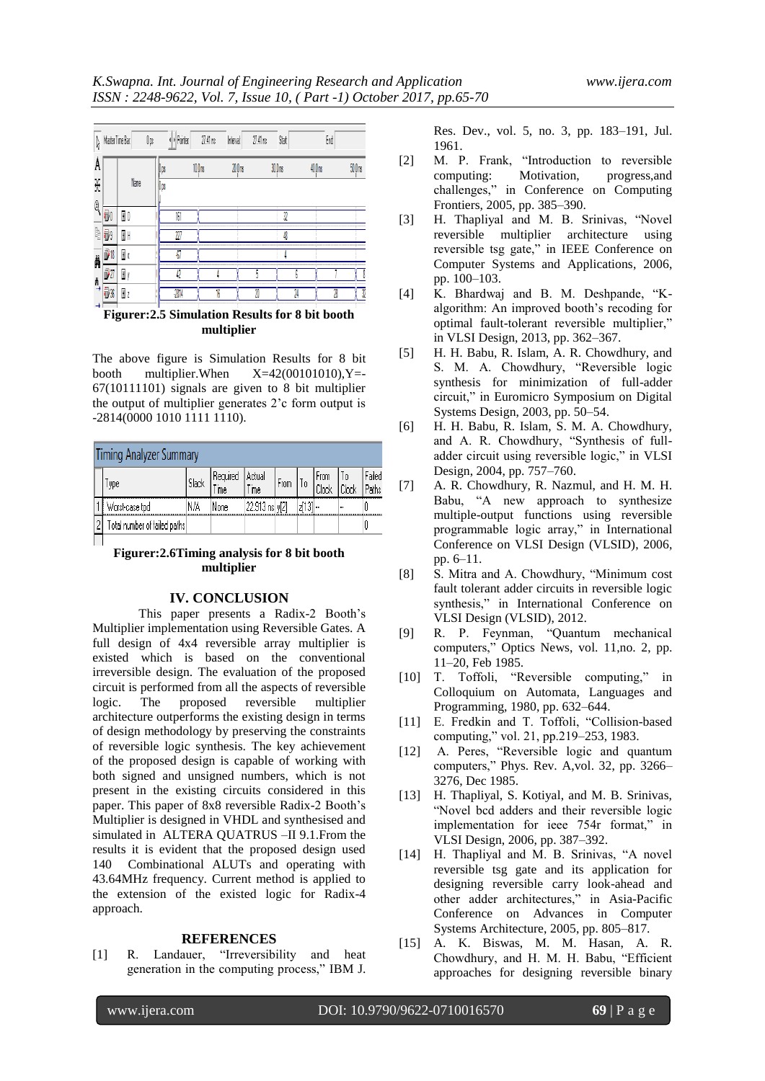

**multiplier**

The above figure is Simulation Results for 8 bit booth multiplier. When  $X=42(00101010)$ ,  $Y=$ 67(10111101) signals are given to 8 bit multiplier the output of multiplier generates 2"c form output is -2814(0000 1010 1111 1110).

| <b>Timing Analyzer Summary</b>                                                                                    |     |      |                |  |  |  |  |  |  |  |  |  |
|-------------------------------------------------------------------------------------------------------------------|-----|------|----------------|--|--|--|--|--|--|--|--|--|
| Required<br>  Actual<br>  From<br>  Clock<br>alled.<br>$ $ From $ $ To $ $<br>Slack<br>ype<br><b>Time</b><br>`ime |     |      |                |  |  |  |  |  |  |  |  |  |
| Worst-case tpd                                                                                                    | N/A | None | 22.913 ns y[2] |  |  |  |  |  |  |  |  |  |
| Total number of failed paths                                                                                      |     |      |                |  |  |  |  |  |  |  |  |  |
|                                                                                                                   |     |      |                |  |  |  |  |  |  |  |  |  |

**Figurer:2.6Timing analysis for 8 bit booth multiplier**

#### **IV. CONCLUSION**

This paper presents a Radix-2 Booth"s Multiplier implementation using Reversible Gates. A full design of 4x4 reversible array multiplier is existed which is based on the conventional irreversible design. The evaluation of the proposed circuit is performed from all the aspects of reversible logic. The proposed reversible multiplier architecture outperforms the existing design in terms of design methodology by preserving the constraints of reversible logic synthesis. The key achievement of the proposed design is capable of working with both signed and unsigned numbers, which is not present in the existing circuits considered in this paper. This paper of 8x8 reversible Radix-2 Booth"s Multiplier is designed in VHDL and synthesised and simulated in ALTERA QUATRUS –II 9.1.From the results it is evident that the proposed design used 140 Combinational ALUTs and operating with 43.64MHz frequency. Current method is applied to the extension of the existed logic for Radix-4 approach.

#### **REFERENCES**

[1] R. Landauer, "Irreversibility and heat generation in the computing process," IBM J.

Res. Dev., vol. 5, no. 3, pp. 183–191, Jul. 1961.

- [2] M. P. Frank, "Introduction to reversible computing: Motivation, progress,and challenges," in Conference on Computing Frontiers, 2005, pp. 385–390.
- [3] H. Thapliyal and M. B. Srinivas, "Novel reversible multiplier architecture using reversible tsg gate," in IEEE Conference on Computer Systems and Applications, 2006, pp. 100–103.
- [4] K. Bhardwaj and B. M. Deshpande, "Kalgorithm: An improved booth"s recoding for optimal fault-tolerant reversible multiplier," in VLSI Design, 2013, pp. 362–367.
- [5] H. H. Babu, R. Islam, A. R. Chowdhury, and S. M. A. Chowdhury, "Reversible logic synthesis for minimization of full-adder circuit," in Euromicro Symposium on Digital Systems Design, 2003, pp. 50–54.
- [6] H. H. Babu, R. Islam, S. M. A. Chowdhury, and A. R. Chowdhury, "Synthesis of fulladder circuit using reversible logic," in VLSI Design, 2004, pp. 757–760.
- [7] A. R. Chowdhury, R. Nazmul, and H. M. H. Babu, "A new approach to synthesize multiple-output functions using reversible programmable logic array," in International Conference on VLSI Design (VLSID), 2006, pp. 6–11.
- [8] S. Mitra and A. Chowdhury, "Minimum cost fault tolerant adder circuits in reversible logic synthesis," in International Conference on VLSI Design (VLSID), 2012.
- [9] R. P. Feynman, "Quantum mechanical computers," Optics News, vol. 11,no. 2, pp. 11–20, Feb 1985.
- [10] T. Toffoli, "Reversible computing," in Colloquium on Automata, Languages and Programming, 1980, pp. 632–644.
- [11] E. Fredkin and T. Toffoli, "Collision-based computing," vol. 21, pp.219–253, 1983.
- [12] A. Peres, "Reversible logic and quantum computers," Phys. Rev. A,vol. 32, pp. 3266– 3276, Dec 1985.
- [13] H. Thapliyal, S. Kotiyal, and M. B. Srinivas, "Novel bcd adders and their reversible logic implementation for ieee 754r format," in VLSI Design, 2006, pp. 387–392.
- [14] H. Thapliyal and M. B. Srinivas, "A novel reversible tsg gate and its application for designing reversible carry look-ahead and other adder architectures," in Asia-Pacific Conference on Advances in Computer Systems Architecture, 2005, pp. 805–817.
- [15] A. K. Biswas, M. M. Hasan, A. R. Chowdhury, and H. M. H. Babu, "Efficient approaches for designing reversible binary